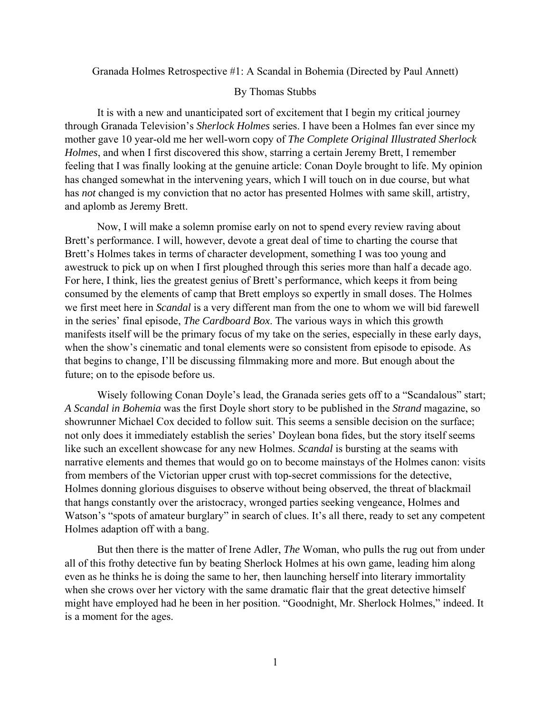Granada Holmes Retrospective #1: A Scandal in Bohemia (Directed by Paul Annett)

## By Thomas Stubbs

 It is with a new and unanticipated sort of excitement that I begin my critical journey through Granada Television's *Sherlock Holmes* series. I have been a Holmes fan ever since my mother gave 10 year-old me her well-worn copy of *The Complete Original Illustrated Sherlock Holmes*, and when I first discovered this show, starring a certain Jeremy Brett, I remember feeling that I was finally looking at the genuine article: Conan Doyle brought to life. My opinion has changed somewhat in the intervening years, which I will touch on in due course, but what has *not* changed is my conviction that no actor has presented Holmes with same skill, artistry, and aplomb as Jeremy Brett.

 Now, I will make a solemn promise early on not to spend every review raving about Brett's performance. I will, however, devote a great deal of time to charting the course that Brett's Holmes takes in terms of character development, something I was too young and awestruck to pick up on when I first ploughed through this series more than half a decade ago. For here, I think, lies the greatest genius of Brett's performance, which keeps it from being consumed by the elements of camp that Brett employs so expertly in small doses. The Holmes we first meet here in *Scandal* is a very different man from the one to whom we will bid farewell in the series' final episode, *The Cardboard Box*. The various ways in which this growth manifests itself will be the primary focus of my take on the series, especially in these early days, when the show's cinematic and tonal elements were so consistent from episode to episode. As that begins to change, I'll be discussing filmmaking more and more. But enough about the future; on to the episode before us.

 Wisely following Conan Doyle's lead, the Granada series gets off to a "Scandalous" start; *A Scandal in Bohemia* was the first Doyle short story to be published in the *Strand* magazine, so showrunner Michael Cox decided to follow suit. This seems a sensible decision on the surface; not only does it immediately establish the series' Doylean bona fides, but the story itself seems like such an excellent showcase for any new Holmes. *Scandal* is bursting at the seams with narrative elements and themes that would go on to become mainstays of the Holmes canon: visits from members of the Victorian upper crust with top-secret commissions for the detective, Holmes donning glorious disguises to observe without being observed, the threat of blackmail that hangs constantly over the aristocracy, wronged parties seeking vengeance, Holmes and Watson's "spots of amateur burglary" in search of clues. It's all there, ready to set any competent Holmes adaption off with a bang.

 But then there is the matter of Irene Adler, *The* Woman, who pulls the rug out from under all of this frothy detective fun by beating Sherlock Holmes at his own game, leading him along even as he thinks he is doing the same to her, then launching herself into literary immortality when she crows over her victory with the same dramatic flair that the great detective himself might have employed had he been in her position. "Goodnight, Mr. Sherlock Holmes," indeed. It is a moment for the ages.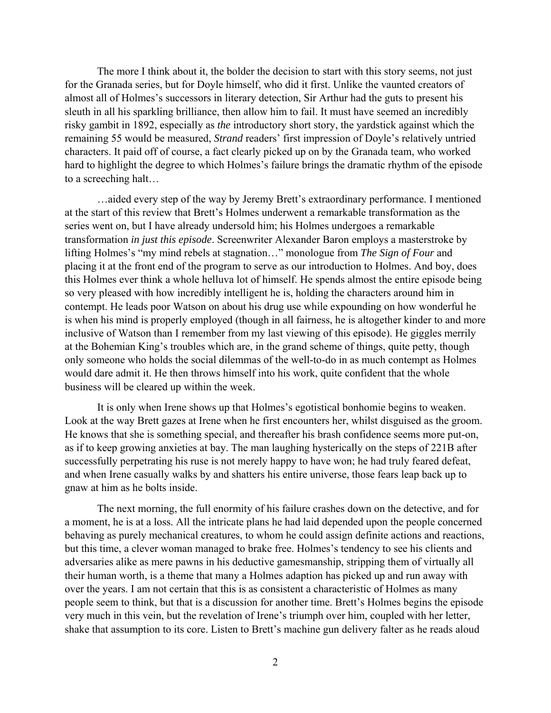The more I think about it, the bolder the decision to start with this story seems, not just for the Granada series, but for Doyle himself, who did it first. Unlike the vaunted creators of almost all of Holmes's successors in literary detection, Sir Arthur had the guts to present his sleuth in all his sparkling brilliance, then allow him to fail. It must have seemed an incredibly risky gambit in 1892, especially as *the* introductory short story, the yardstick against which the remaining 55 would be measured, *Strand* readers' first impression of Doyle's relatively untried characters. It paid off of course, a fact clearly picked up on by the Granada team, who worked hard to highlight the degree to which Holmes's failure brings the dramatic rhythm of the episode to a screeching halt…

 …aided every step of the way by Jeremy Brett's extraordinary performance. I mentioned at the start of this review that Brett's Holmes underwent a remarkable transformation as the series went on, but I have already undersold him; his Holmes undergoes a remarkable transformation *in just this episode*. Screenwriter Alexander Baron employs a masterstroke by lifting Holmes's "my mind rebels at stagnation…" monologue from *The Sign of Four* and placing it at the front end of the program to serve as our introduction to Holmes. And boy, does this Holmes ever think a whole helluva lot of himself. He spends almost the entire episode being so very pleased with how incredibly intelligent he is, holding the characters around him in contempt. He leads poor Watson on about his drug use while expounding on how wonderful he is when his mind is properly employed (though in all fairness, he is altogether kinder to and more inclusive of Watson than I remember from my last viewing of this episode). He giggles merrily at the Bohemian King's troubles which are, in the grand scheme of things, quite petty, though only someone who holds the social dilemmas of the well-to-do in as much contempt as Holmes would dare admit it. He then throws himself into his work, quite confident that the whole business will be cleared up within the week.

 It is only when Irene shows up that Holmes's egotistical bonhomie begins to weaken. Look at the way Brett gazes at Irene when he first encounters her, whilst disguised as the groom. He knows that she is something special, and thereafter his brash confidence seems more put-on, as if to keep growing anxieties at bay. The man laughing hysterically on the steps of 221B after successfully perpetrating his ruse is not merely happy to have won; he had truly feared defeat, and when Irene casually walks by and shatters his entire universe, those fears leap back up to gnaw at him as he bolts inside.

The next morning, the full enormity of his failure crashes down on the detective, and for a moment, he is at a loss. All the intricate plans he had laid depended upon the people concerned behaving as purely mechanical creatures, to whom he could assign definite actions and reactions, but this time, a clever woman managed to brake free. Holmes's tendency to see his clients and adversaries alike as mere pawns in his deductive gamesmanship, stripping them of virtually all their human worth, is a theme that many a Holmes adaption has picked up and run away with over the years. I am not certain that this is as consistent a characteristic of Holmes as many people seem to think, but that is a discussion for another time. Brett's Holmes begins the episode very much in this vein, but the revelation of Irene's triumph over him, coupled with her letter, shake that assumption to its core. Listen to Brett's machine gun delivery falter as he reads aloud